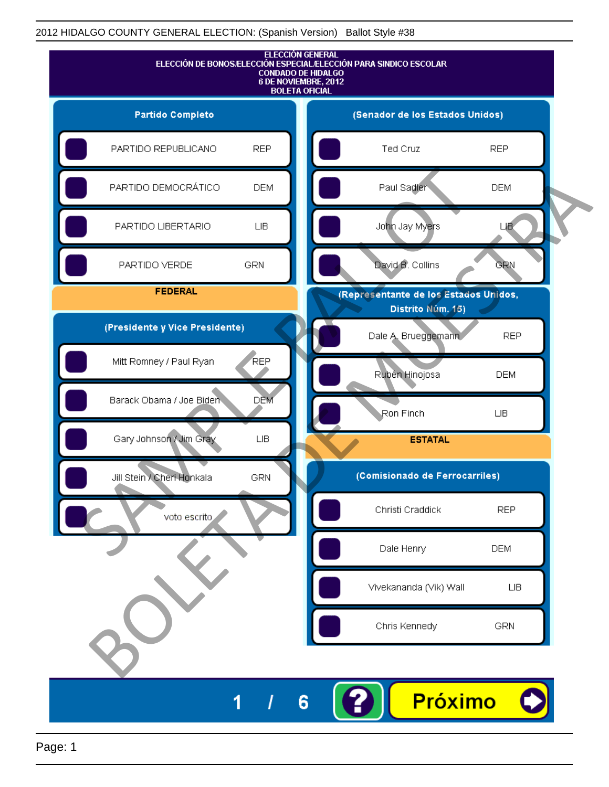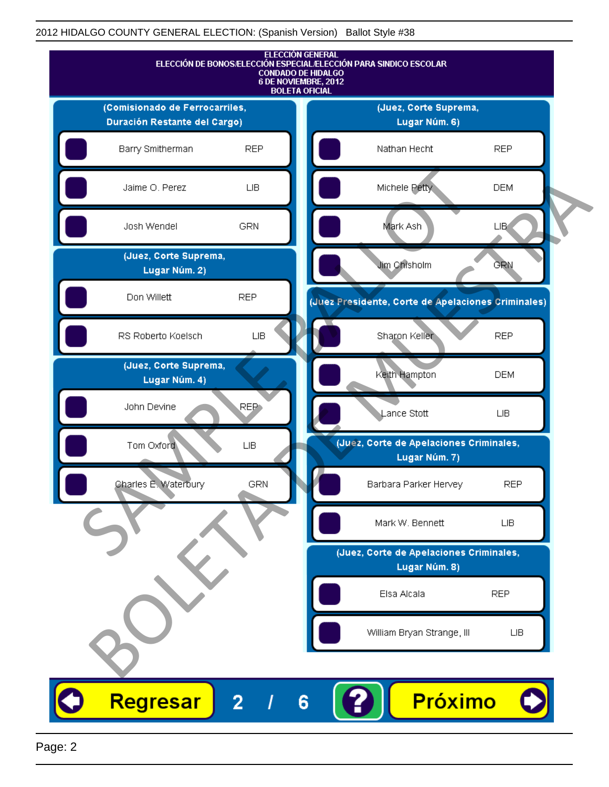

Page: 2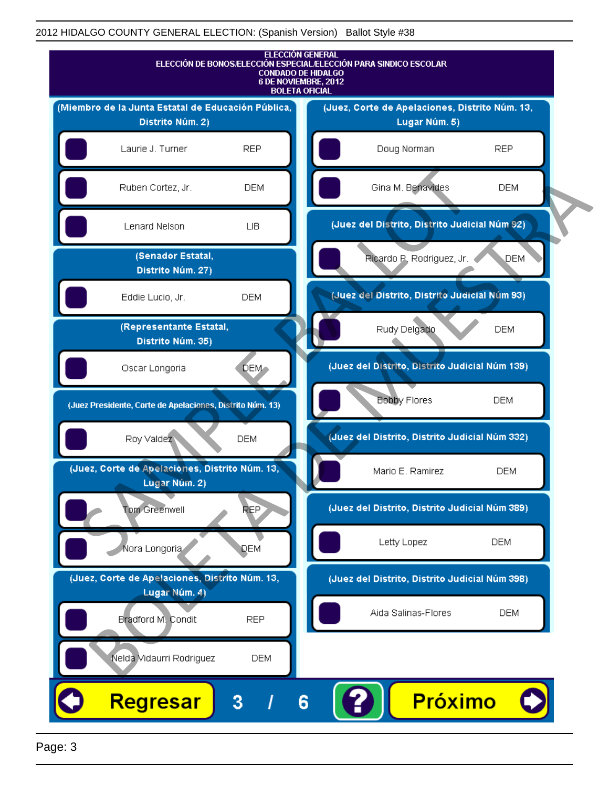

Page: 3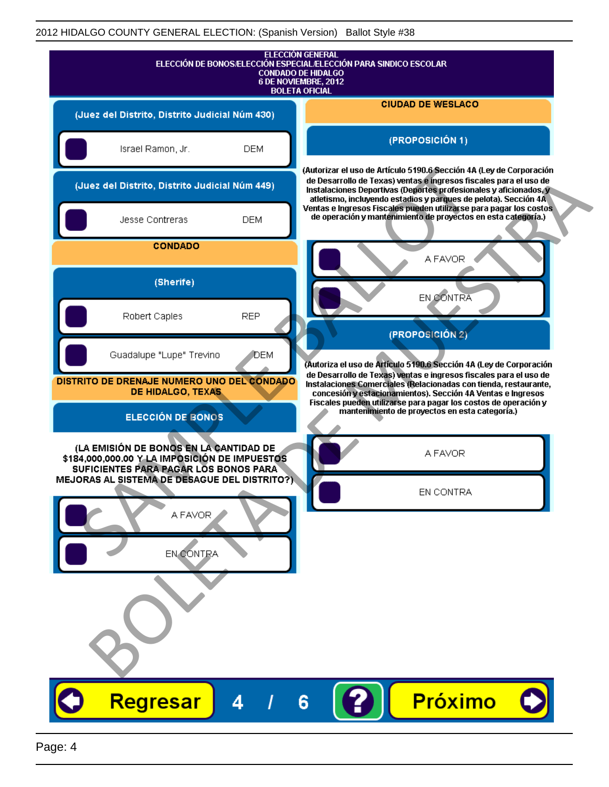|                                                                                         |            | <b>ELECCIÓN GENERAL</b><br>ELECCIÓN DE BONOS/ELECCIÓN ESPECIAL/ELECCIÓN PARA SINDICO ESCOLAR<br><b>CONDADO DE HIDALGO</b><br>6 DE NOVIEMBRE, 2012<br><b>BOLETA OFICIAL</b>                                                                                                       |
|-----------------------------------------------------------------------------------------|------------|----------------------------------------------------------------------------------------------------------------------------------------------------------------------------------------------------------------------------------------------------------------------------------|
| (Juez del Distrito, Distrito Judicial Núm 430)                                          |            | <b>CIUDAD DE WESLACO</b>                                                                                                                                                                                                                                                         |
| Israel Ramon, Jr.                                                                       | <b>DEM</b> | (PROPOSICIÓN 1)                                                                                                                                                                                                                                                                  |
| (Juez del Distrito, Distrito Judicial Núm 449)                                          |            | (Autorizar el uso de Artículo 5190.6 Sección 4A (Ley de Corporación<br>de Desarrollo de Texas) ventas e ingresos fiscales para el uso de<br>Instalaciones Deportivas (Deportes profesionales y aficionados, y<br>atletismo, incluyendo estadios y parques de pelota). Sección 4A |
| Jesse Contreras                                                                         | <b>DEM</b> | Ventas e Ingresos Fiscales pueden utilizarse para pagar los costos<br>de operación y mantenimiento de proyectos en esta categoría.)                                                                                                                                              |
| <b>CONDADO</b>                                                                          |            | A FAVOR                                                                                                                                                                                                                                                                          |
| (Sherife)                                                                               |            | <b>EN CONTRA</b>                                                                                                                                                                                                                                                                 |
| Robert Caples                                                                           | <b>REP</b> | $(PROPOS   C   \hat{O} N 2)$                                                                                                                                                                                                                                                     |
| Guadalupe "Lupe" Trevino                                                                | DEM        | (Autoriza el uso de Artículo 5190.6 Sección 4A (Ley de Corporación                                                                                                                                                                                                               |
| DISTRITO DE DRENAJE NUMERO UNO DEL CONDADO<br>DE HIDALGO, TEXAS                         |            | de Desarrollo de Texas) ventas e ingresos fiscales para el uso de<br>Instalaciones Comerciales (Relacionadas con tienda, restaurante,<br>concesión y estacionamientos). Sección 4A Ventas e Ingresos                                                                             |
| <b>ELECCIÓN DE BONOS</b>                                                                |            | Fiscales pueden utilizarse para pagar los costos de operación y<br>mantenimiento de proyectos en esta categoría.)                                                                                                                                                                |
| (LA EMISIÓN DE BONOS EN LA CANTIDAD DE<br>\$184,000,000.00 Y LA IMPOSICIÓN DE IMPUESTOS |            | A FAVOR                                                                                                                                                                                                                                                                          |
| SUFICIENTES PARA PAGAR LOS BONOS PARA<br>MEJORAS AL SISTEMA DE DESAGUE DEL DISTRITO?)   |            | EN CONTRA                                                                                                                                                                                                                                                                        |
| A FAVOR                                                                                 |            |                                                                                                                                                                                                                                                                                  |
| EN CONTRA                                                                               |            |                                                                                                                                                                                                                                                                                  |
|                                                                                         |            |                                                                                                                                                                                                                                                                                  |
|                                                                                         |            |                                                                                                                                                                                                                                                                                  |
| Regresar                                                                                | 4          | <b>Próximo</b><br>6                                                                                                                                                                                                                                                              |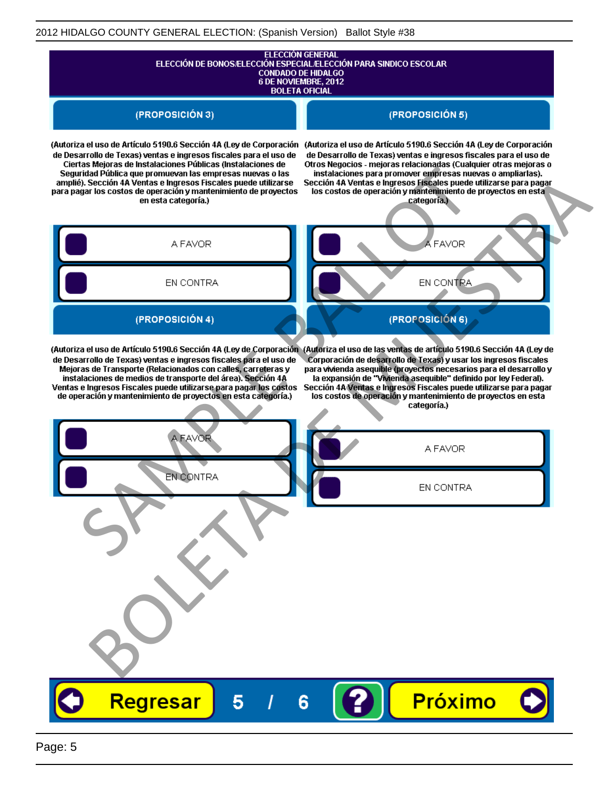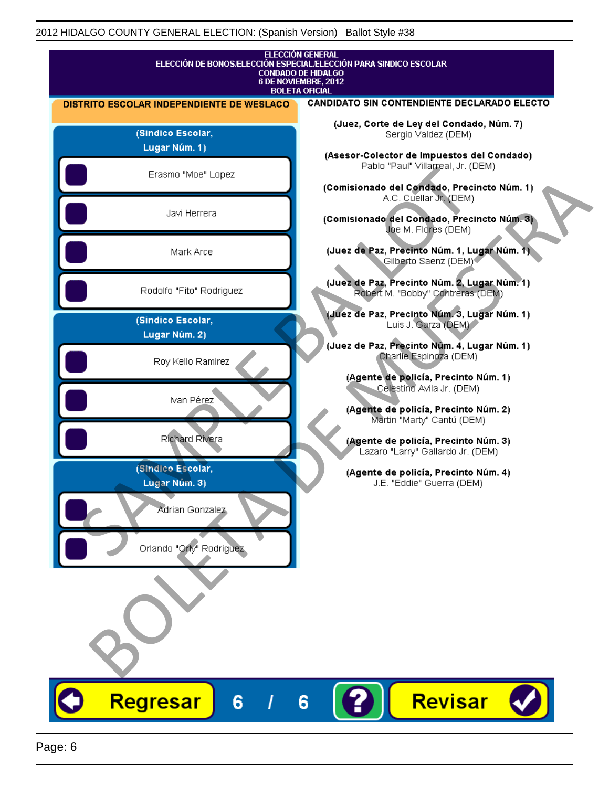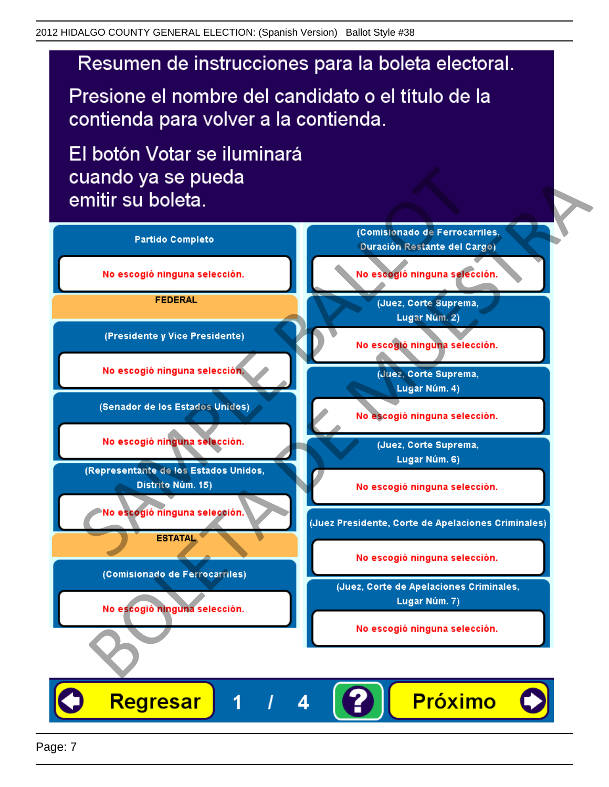Presione el nombre del candidato o el título de la contienda para volver a la contienda.

El botón Votar se iluminará

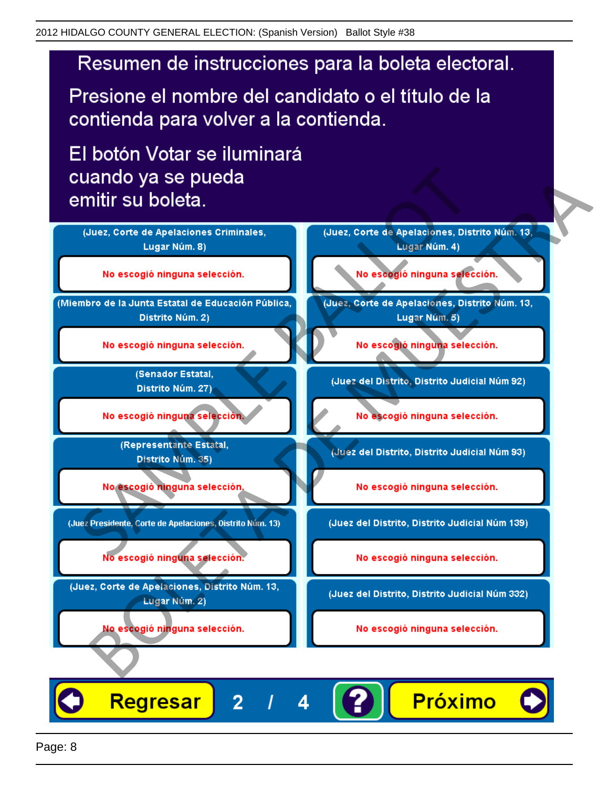Presione el nombre del candidato o el título de la contienda para volver a la contienda.

El botón Votar se iluminará



4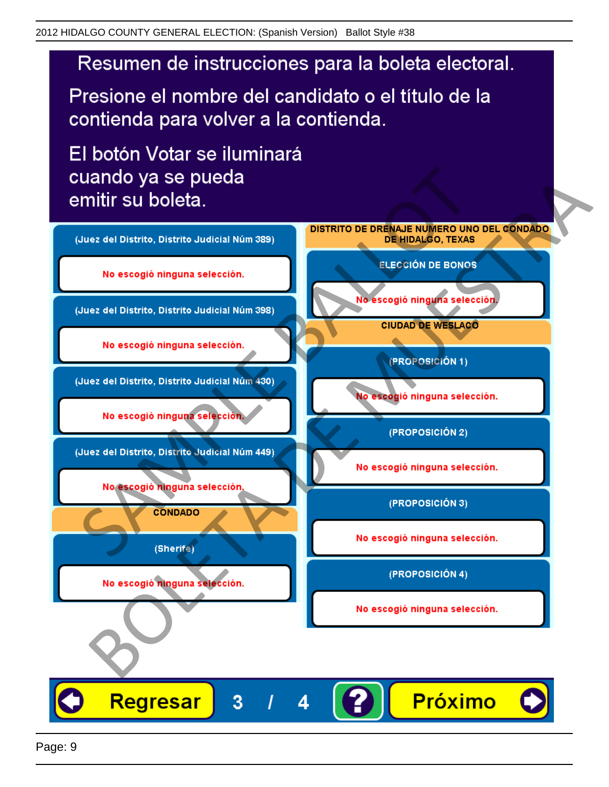Presione el nombre del candidato o el título de la contienda para volver a la contienda.

El botón Votar se iluminará